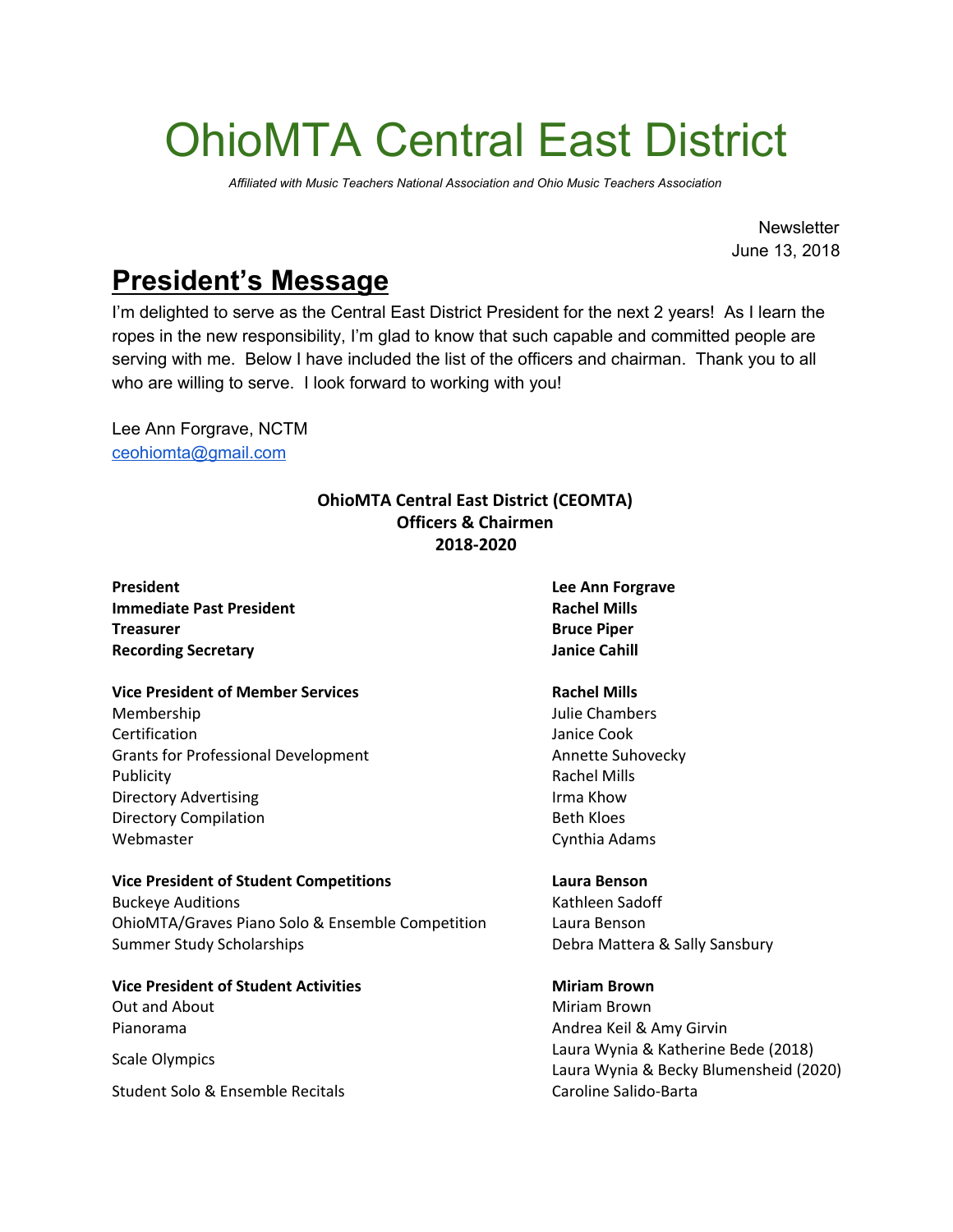# OhioMTA Central East District

*Affiliated with Music Teachers National Association and Ohio Music Teachers Association*

**Newsletter** June 13, 2018

# **President's Message**

I'm delighted to serve as the Central East District President for the next 2 years! As I learn the ropes in the new responsibility, I'm glad to know that such capable and committed people are serving with me. Below I have included the list of the officers and chairman. Thank you to all who are willing to serve. I look forward to working with you!

Lee Ann Forgrave, NCTM [ceohiomta@gmail.com](mailto:ceohiomta@gmail.com)

### **OhioMTA Central East District (CEOMTA) Officers & Chairmen 2018-2020**

**President Lee Ann Forgrave Immediate Past President Rachel Mills Treasurer Bruce Piper Recording Secretary Janice Cahill**

### **Vice President of Member Services Rachel Mills**

Membership Julie Chambers **Certification Janice Cook** Grants for Professional Development **Annette Suhovecky Annette Suhovecky** Publicity **Rachel Mills** Directory Advertising **Irma Khow** Irma Khow Directory Compilation **Beth Kloes** Webmaster **Cynthia Adams** 

## **Vice President of Student Competitions Laura Benson**

Buckeye Auditions **Kathleen Sadoff Kathleen Sadoff** OhioMTA/Graves Piano Solo & Ensemble Competition Laura Benson Summer Study Scholarships **Debra Mattera & Sally Sansbury** Debra Mattera & Sally Sansbury

**Vice President of Student Activities Miriam Brown** Out and About **Miriam Brown** Pianorama **Andrea Keil & Amy Girvin** Scale Olympics

Student Solo & Ensemble Recitals Caroline Salido-Barta

# Laura Wynia & Katherine Bede (2018) Laura Wynia & Becky Blumensheid (2020)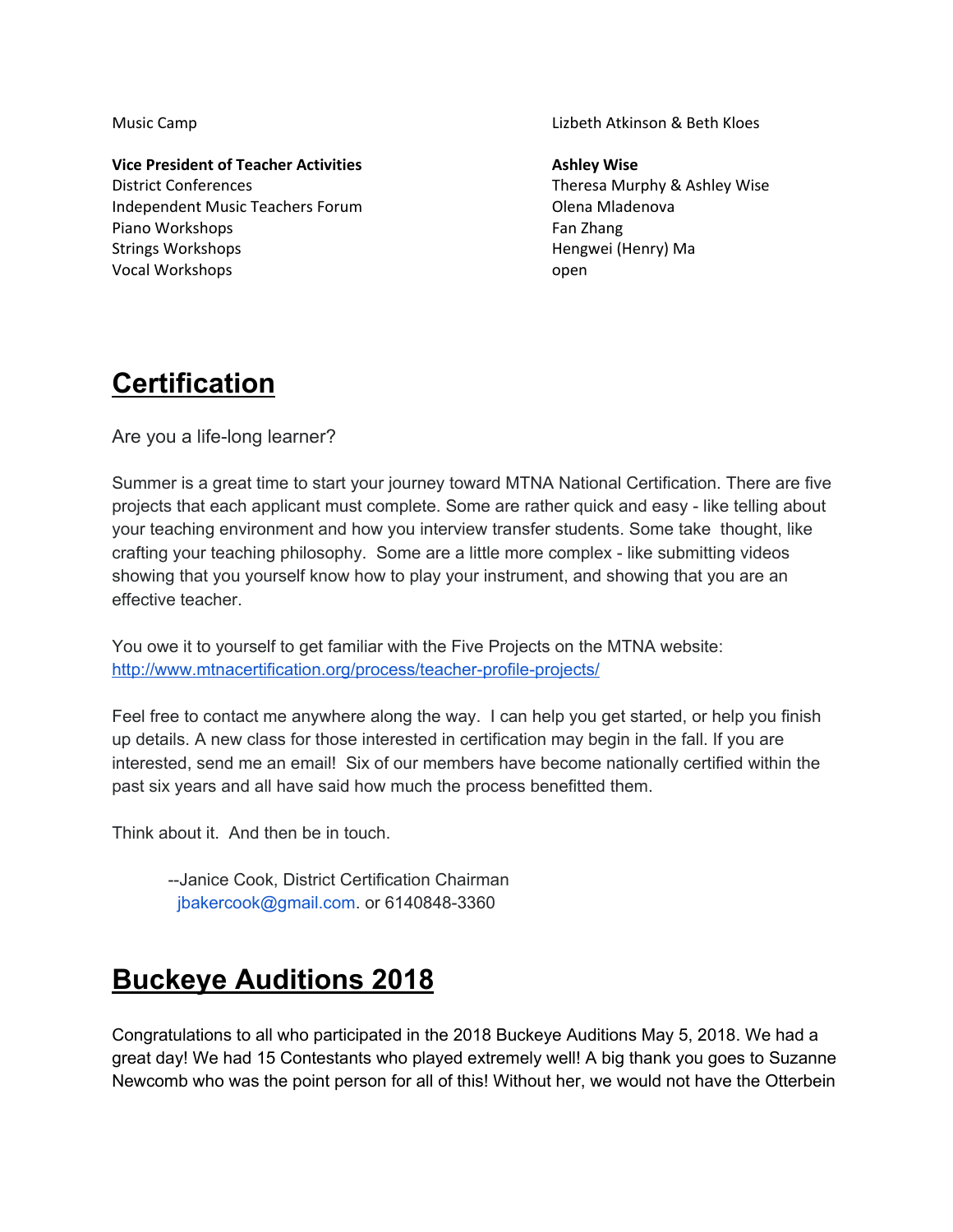**Vice President of Teacher Activities Ashley Wise** District Conferences Theresa Murphy & Ashley Wise Independent Music Teachers Forum Olena Mladenova Piano Workshops Fan Zhang Fan Zhang Fan Zhang Fan Zhang Fan Zhang Fan Zhang Fan Zhang Fan Zhang Fan Zhang Fan Zhang Fan Zhang Fan Zhang Fan Zhang Fan Zhang Fan Zhang Fan Zhang Fan Zhang Fan Zhang Fan Zhang Fan Zhang Fan Zh Strings Workshops **Hengwei** (Henry) Ma Vocal Workshops open

Music Camp Lizbeth Atkinson & Beth Kloes

## **Certification**

Are you a life-long learner?

Summer is a great time to start your journey toward MTNA National Certification. There are five projects that each applicant must complete. Some are rather quick and easy - like telling about your teaching environment and how you interview transfer students. Some take thought, like crafting your teaching philosophy. Some are a little more complex - like submitting videos showing that you yourself know how to play your instrument, and showing that you are an effective teacher.

You owe it to yourself to get familiar with the Five Projects on the MTNA website: <http://www.mtnacertification.org/process/teacher-profile-projects/>

Feel free to contact me anywhere along the way. I can help you get started, or help you finish up details. A new class for those interested in certification may begin in the fall. If you are interested, send me an email! Six of our members have become nationally certified within the past six years and all have said how much the process benefitted them.

Think about it. And then be in touch.

--Janice Cook, District Certification Chairman jbakercook@gmail.com. or 6140848-3360

# **Buckeye Auditions 2018**

Congratulations to all who participated in the 2018 Buckeye Auditions May 5, 2018. We had a great day! We had 15 Contestants who played extremely well! A big thank you goes to Suzanne Newcomb who was the point person for all of this! Without her, we would not have the Otterbein